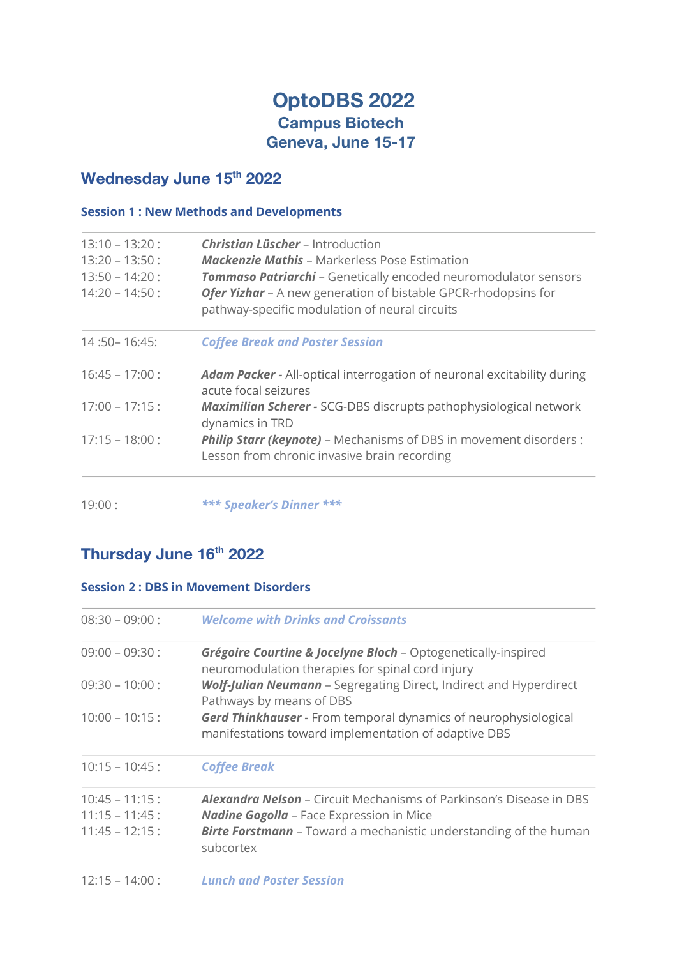## **OptoDBS 2022 Campus Biotech Geneva, June 15-17**

### Wednesday June 15<sup>th</sup> 2022

### **Session 1 : New Methods and Developments**

| $13:10 - 13:20$ :<br>$13:20 - 13:50$ :<br>$13:50 - 14:20$ :<br>$14:20 - 14:50$ : | <b>Christian Lüscher</b> – Introduction<br><b>Mackenzie Mathis -</b> Markerless Pose Estimation<br><b>Tommaso Patriarchi</b> - Genetically encoded neuromodulator sensors<br>Ofer Yizhar - A new generation of bistable GPCR-rhodopsins for<br>pathway-specific modulation of neural circuits |
|----------------------------------------------------------------------------------|-----------------------------------------------------------------------------------------------------------------------------------------------------------------------------------------------------------------------------------------------------------------------------------------------|
| $14:50 - 16:45$ :                                                                | <b>Coffee Break and Poster Session</b>                                                                                                                                                                                                                                                        |
| $16:45 - 17:00$ :                                                                | <b>Adam Packer -</b> All-optical interrogation of neuronal excitability during<br>acute focal seizures                                                                                                                                                                                        |
| $17:00 - 17:15:$                                                                 | Maximilian Scherer - SCG-DBS discrupts pathophysiological network<br>dynamics in TRD                                                                                                                                                                                                          |
| $17:15 - 18:00$ :                                                                | <b>Philip Starr (keynote)</b> - Mechanisms of DBS in movement disorders :<br>Lesson from chronic invasive brain recording                                                                                                                                                                     |
|                                                                                  |                                                                                                                                                                                                                                                                                               |

19:00 : *\*\*\* Speaker's Dinner \*\*\**

# **Thursday June 16th 2022**

#### **Session 2 : DBS in Movement Disorders**

| $08:30 - 09:00$ :                                          | <b>Welcome with Drinks and Croissants</b>                                                                                                                                                                              |
|------------------------------------------------------------|------------------------------------------------------------------------------------------------------------------------------------------------------------------------------------------------------------------------|
| $09:00 - 09:30:$                                           | <b>Grégoire Courtine &amp; Jocelyne Bloch - Optogenetically-inspired</b><br>neuromodulation therapies for spinal cord injury                                                                                           |
| $09:30 - 10:00$ :                                          | <b>Wolf-Julian Neumann</b> - Segregating Direct, Indirect and Hyperdirect<br>Pathways by means of DBS                                                                                                                  |
| $10:00 - 10:15$ :                                          | <b>Gerd Thinkhauser - From temporal dynamics of neurophysiological</b><br>manifestations toward implementation of adaptive DBS                                                                                         |
| $10:15 - 10:45$ :                                          | <b>Coffee Break</b>                                                                                                                                                                                                    |
| $10:45 - 11:15$ :<br>$11:15 - 11:45:$<br>$11:45 - 12:15$ : | <b>Alexandra Nelson - Circuit Mechanisms of Parkinson's Disease in DBS</b><br><b>Nadine Gogolla - Face Expression in Mice</b><br><b>Birte Forstmann</b> - Toward a mechanistic understanding of the human<br>subcortex |
| $12:15 - 14:00$ :                                          | <b>Lunch and Poster Session</b>                                                                                                                                                                                        |